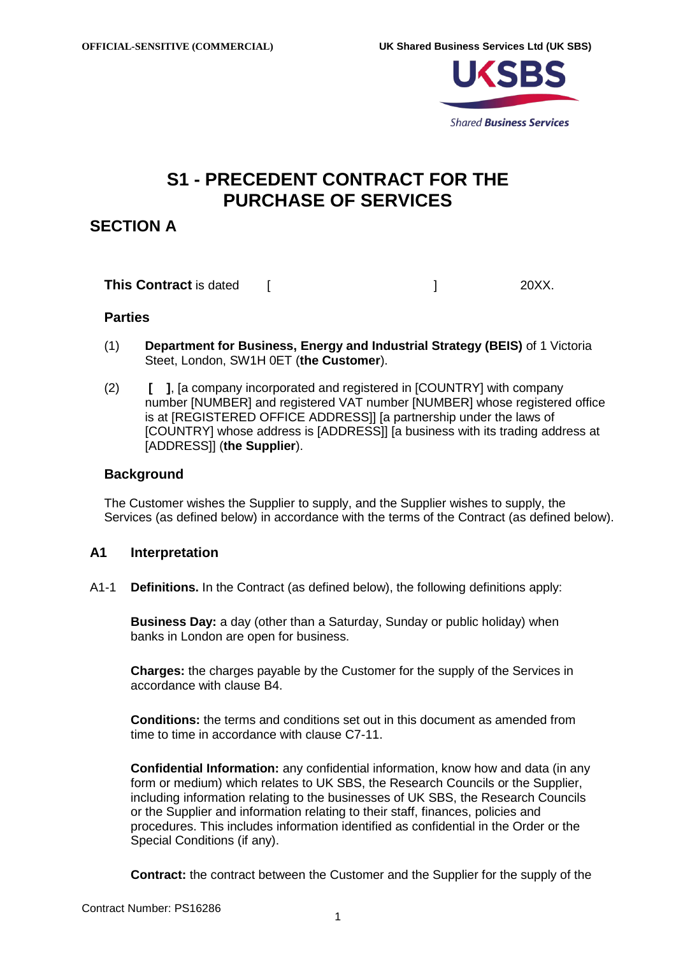

# **S1 - PRECEDENT CONTRACT FOR THE PURCHASE OF SERVICES**

# **SECTION A**

**This Contract** is dated [  $\qquad$   $\qquad$  20XX.

### **Parties**

- (1) **Department for Business, Energy and Industrial Strategy (BEIS)** of 1 Victoria Steet, London, SW1H 0ET (**the Customer**).
- (2) **[ ]**, [a company incorporated and registered in [COUNTRY] with company number [NUMBER] and registered VAT number [NUMBER] whose registered office is at [REGISTERED OFFICE ADDRESS]] [a partnership under the laws of [COUNTRY] whose address is [ADDRESS]] [a business with its trading address at [ADDRESS]] (**the Supplier**).

### **Background**

The Customer wishes the Supplier to supply, and the Supplier wishes to supply, the Services (as defined below) in accordance with the terms of the Contract (as defined below).

## **A1 Interpretation**

A1-1 **Definitions.** In the Contract (as defined below), the following definitions apply:

**Business Day:** a day (other than a Saturday, Sunday or public holiday) when banks in London are open for business.

**Charges:** the charges payable by the Customer for the supply of the Services in accordance with clause [B4.](#page-9-0)

**Conditions:** the terms and conditions set out in this document as amended from time to time in accordance with clause [C7-11.](#page-20-0)

**Confidential Information:** any confidential information, know how and data (in any form or medium) which relates to UK SBS, the Research Councils or the Supplier, including information relating to the businesses of UK SBS, the Research Councils or the Supplier and information relating to their staff, finances, policies and procedures. This includes information identified as confidential in the Order or the Special Conditions (if any).

**Contract:** the contract between the Customer and the Supplier for the supply of the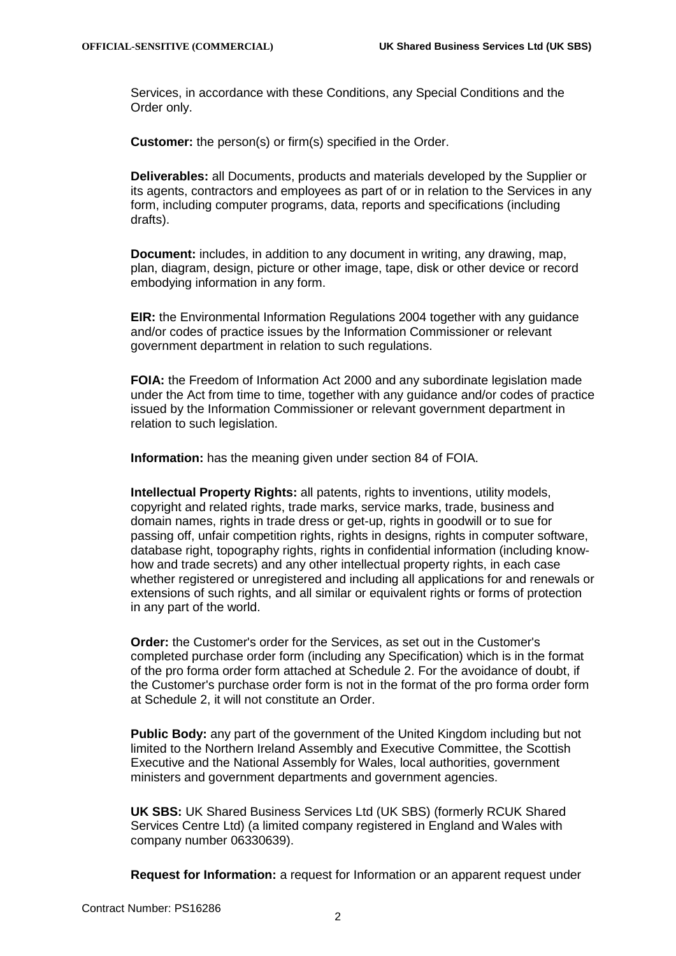Services, in accordance with these Conditions, any Special Conditions and the Order only.

**Customer:** the person(s) or firm(s) specified in the Order.

**Deliverables:** all Documents, products and materials developed by the Supplier or its agents, contractors and employees as part of or in relation to the Services in any form, including computer programs, data, reports and specifications (including drafts).

**Document:** includes, in addition to any document in writing, any drawing, map, plan, diagram, design, picture or other image, tape, disk or other device or record embodying information in any form.

**EIR:** the Environmental Information Regulations 2004 together with any guidance and/or codes of practice issues by the Information Commissioner or relevant government department in relation to such regulations.

**FOIA:** the Freedom of Information Act 2000 and any subordinate legislation made under the Act from time to time, together with any guidance and/or codes of practice issued by the Information Commissioner or relevant government department in relation to such legislation.

**Information:** has the meaning given under section 84 of FOIA.

**Intellectual Property Rights:** all patents, rights to inventions, utility models, copyright and related rights, trade marks, service marks, trade, business and domain names, rights in trade dress or get-up, rights in goodwill or to sue for passing off, unfair competition rights, rights in designs, rights in computer software, database right, topography rights, rights in confidential information (including knowhow and trade secrets) and any other intellectual property rights, in each case whether registered or unregistered and including all applications for and renewals or extensions of such rights, and all similar or equivalent rights or forms of protection in any part of the world.

**Order:** the Customer's order for the Services, as set out in the Customer's completed purchase order form (including any Specification) which is in the format of the pro forma order form attached at [Schedule 2.](#page-22-0) For the avoidance of doubt, if the Customer's purchase order form is not in the format of the pro forma order form at [Schedule 2,](#page-22-0) it will not constitute an Order.

**Public Body:** any part of the government of the United Kingdom including but not limited to the Northern Ireland Assembly and Executive Committee, the Scottish Executive and the National Assembly for Wales, local authorities, government ministers and government departments and government agencies.

**UK SBS:** UK Shared Business Services Ltd (UK SBS) (formerly RCUK Shared Services Centre Ltd) (a limited company registered in England and Wales with company number 06330639).

**Request for Information:** a request for Information or an apparent request under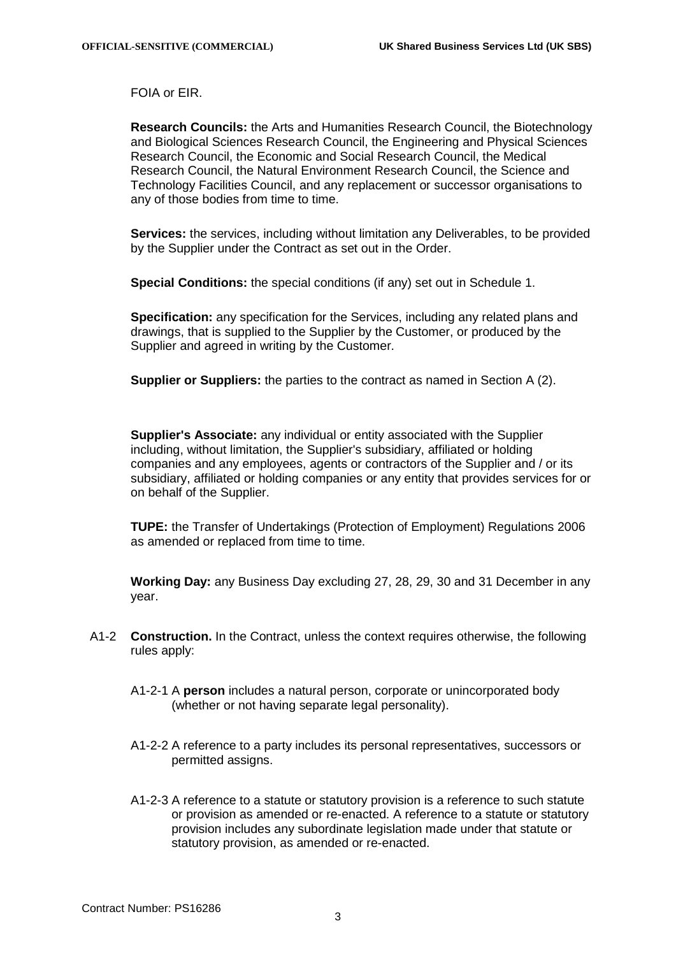FOIA or EIR.

**Research Councils:** the Arts and Humanities Research Council, the Biotechnology and Biological Sciences Research Council, the Engineering and Physical Sciences Research Council, the Economic and Social Research Council, the Medical Research Council, the Natural Environment Research Council, the Science and Technology Facilities Council, and any replacement or successor organisations to any of those bodies from time to time.

**Services:** the services, including without limitation any Deliverables, to be provided by the Supplier under the Contract as set out in the Order.

**Special Conditions:** the special conditions (if any) set out in [Schedule 1.](#page-21-0)

**Specification:** any specification for the Services, including any related plans and drawings, that is supplied to the Supplier by the Customer, or produced by the Supplier and agreed in writing by the Customer.

**Supplier or Suppliers:** the parties to the contract as named in Section A (2).

**Supplier's Associate:** any individual or entity associated with the Supplier including, without limitation, the Supplier's subsidiary, affiliated or holding companies and any employees, agents or contractors of the Supplier and / or its subsidiary, affiliated or holding companies or any entity that provides services for or on behalf of the Supplier.

**TUPE:** the Transfer of Undertakings (Protection of Employment) Regulations 2006 as amended or replaced from time to time.

**Working Day:** any Business Day excluding 27, 28, 29, 30 and 31 December in any year.

- A1-2 **Construction.** In the Contract, unless the context requires otherwise, the following rules apply:
	- A1-2-1 A **person** includes a natural person, corporate or unincorporated body (whether or not having separate legal personality).
	- A1-2-2 A reference to a party includes its personal representatives, successors or permitted assigns.
	- A1-2-3 A reference to a statute or statutory provision is a reference to such statute or provision as amended or re-enacted. A reference to a statute or statutory provision includes any subordinate legislation made under that statute or statutory provision, as amended or re-enacted.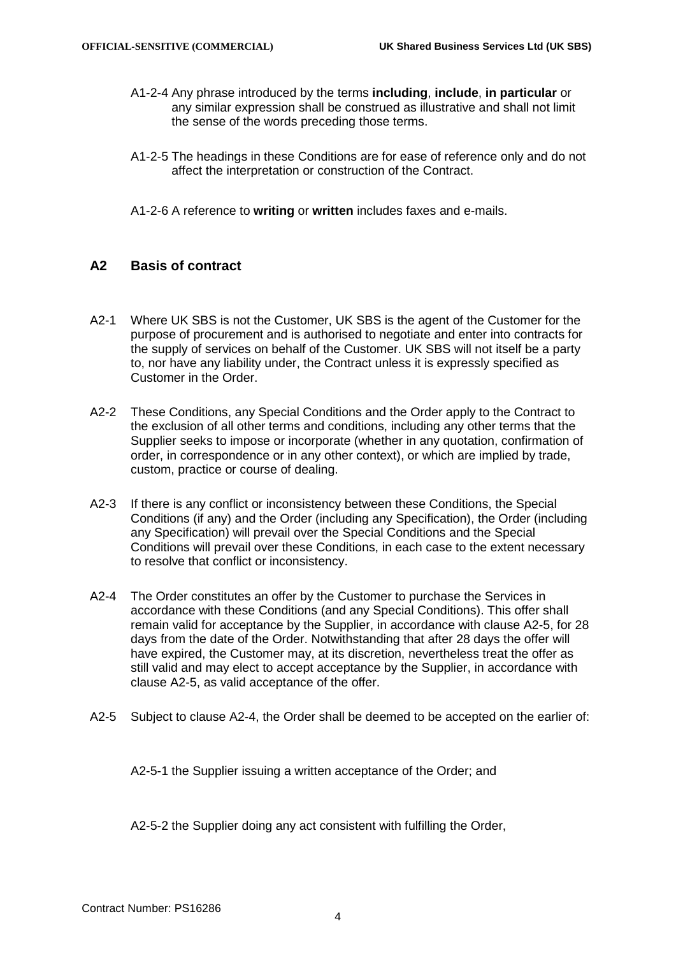- A1-2-4 Any phrase introduced by the terms **including**, **include**, **in particular** or any similar expression shall be construed as illustrative and shall not limit the sense of the words preceding those terms.
- A1-2-5 The headings in these Conditions are for ease of reference only and do not affect the interpretation or construction of the Contract.
- A1-2-6 A reference to **writing** or **written** includes faxes and e-mails.

## **A2 Basis of contract**

- A2-1 Where UK SBS is not the Customer, UK SBS is the agent of the Customer for the purpose of procurement and is authorised to negotiate and enter into contracts for the supply of services on behalf of the Customer. UK SBS will not itself be a party to, nor have any liability under, the Contract unless it is expressly specified as Customer in the Order.
- A2-2 These Conditions, any Special Conditions and the Order apply to the Contract to the exclusion of all other terms and conditions, including any other terms that the Supplier seeks to impose or incorporate (whether in any quotation, confirmation of order, in correspondence or in any other context), or which are implied by trade, custom, practice or course of dealing.
- A2-3 If there is any conflict or inconsistency between these Conditions, the Special Conditions (if any) and the Order (including any Specification), the Order (including any Specification) will prevail over the Special Conditions and the Special Conditions will prevail over these Conditions, in each case to the extent necessary to resolve that conflict or inconsistency.
- <span id="page-3-1"></span>A2-4 The Order constitutes an offer by the Customer to purchase the Services in accordance with these Conditions (and any Special Conditions). This offer shall remain valid for acceptance by the Supplier, in accordance with clause [A2-5,](#page-3-0) for 28 days from the date of the Order. Notwithstanding that after 28 days the offer will have expired, the Customer may, at its discretion, nevertheless treat the offer as still valid and may elect to accept acceptance by the Supplier, in accordance with clause [A2-5,](#page-3-0) as valid acceptance of the offer.
- <span id="page-3-0"></span>A2-5 Subject to clause [A2-4,](#page-3-1) the Order shall be deemed to be accepted on the earlier of:

A2-5-1 the Supplier issuing a written acceptance of the Order; and

A2-5-2 the Supplier doing any act consistent with fulfilling the Order,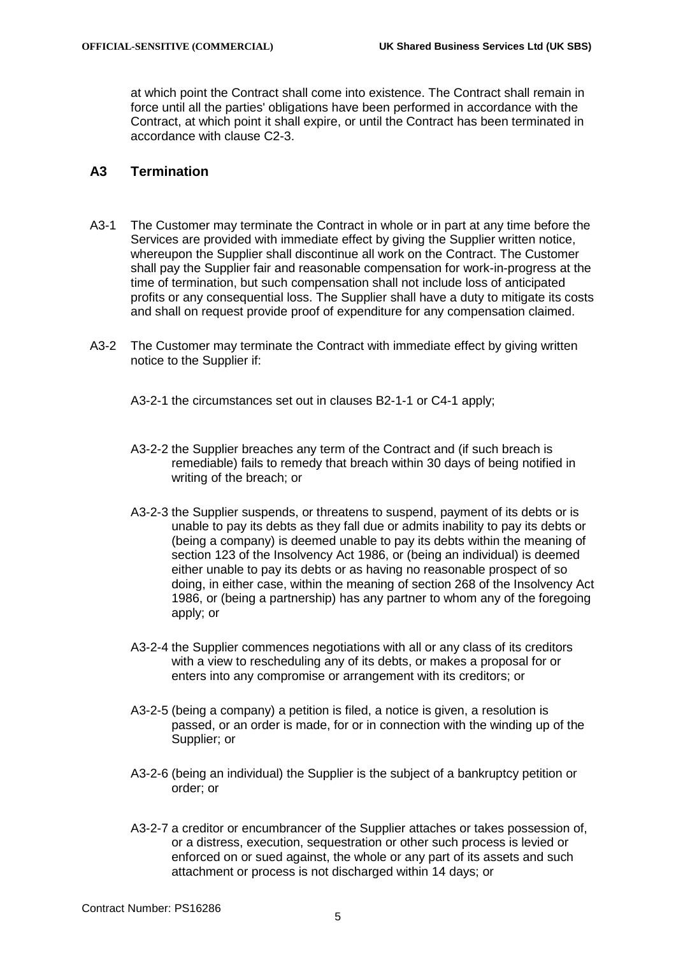at which point the Contract shall come into existence. The Contract shall remain in force until all the parties' obligations have been performed in accordance with the Contract, at which point it shall expire, or until the Contract has been terminated in accordance with clause [C2-3.](#page-14-0)

# **A3 Termination**

- A3-1 The Customer may terminate the Contract in whole or in part at any time before the Services are provided with immediate effect by giving the Supplier written notice, whereupon the Supplier shall discontinue all work on the Contract. The Customer shall pay the Supplier fair and reasonable compensation for work-in-progress at the time of termination, but such compensation shall not include loss of anticipated profits or any consequential loss. The Supplier shall have a duty to mitigate its costs and shall on request provide proof of expenditure for any compensation claimed.
- A3-2 The Customer may terminate the Contract with immediate effect by giving written notice to the Supplier if:

A3-2-1 the circumstances set out in clauses [B2-1-1](#page-8-0) or [C4-1](#page-15-0) apply;

- A3-2-2 the Supplier breaches any term of the Contract and (if such breach is remediable) fails to remedy that breach within 30 days of being notified in writing of the breach; or
- <span id="page-4-0"></span>A3-2-3 the Supplier suspends, or threatens to suspend, payment of its debts or is unable to pay its debts as they fall due or admits inability to pay its debts or (being a company) is deemed unable to pay its debts within the meaning of section 123 of the Insolvency Act 1986, or (being an individual) is deemed either unable to pay its debts or as having no reasonable prospect of so doing, in either case, within the meaning of section 268 of the Insolvency Act 1986, or (being a partnership) has any partner to whom any of the foregoing apply; or
- A3-2-4 the Supplier commences negotiations with all or any class of its creditors with a view to rescheduling any of its debts, or makes a proposal for or enters into any compromise or arrangement with its creditors; or
- A3-2-5 (being a company) a petition is filed, a notice is given, a resolution is passed, or an order is made, for or in connection with the winding up of the Supplier; or
- A3-2-6 (being an individual) the Supplier is the subject of a bankruptcy petition or order; or
- A3-2-7 a creditor or encumbrancer of the Supplier attaches or takes possession of, or a distress, execution, sequestration or other such process is levied or enforced on or sued against, the whole or any part of its assets and such attachment or process is not discharged within 14 days; or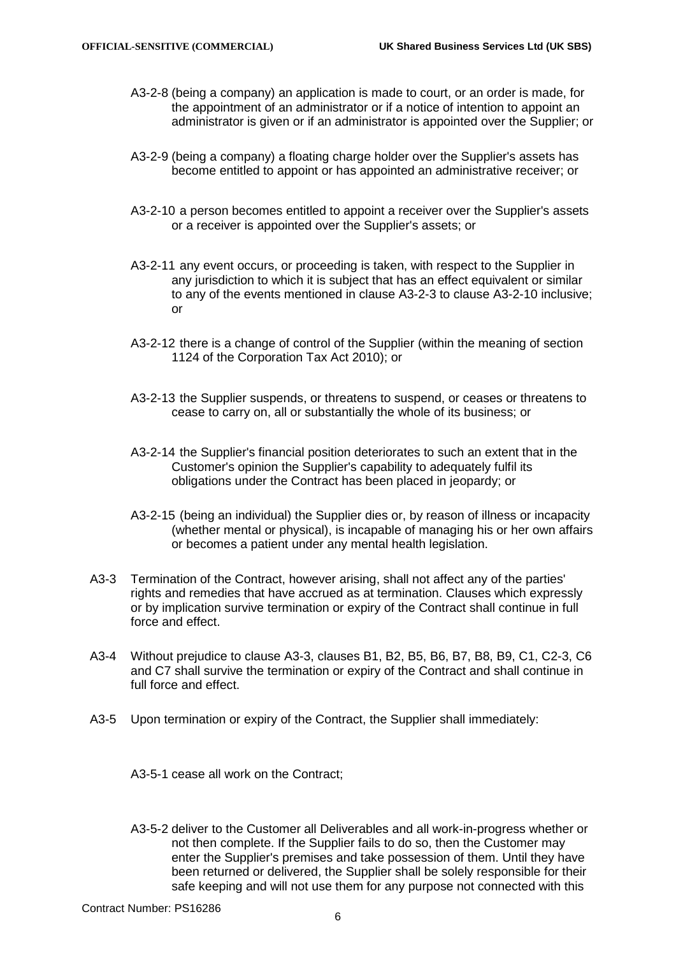- A3-2-8 (being a company) an application is made to court, or an order is made, for the appointment of an administrator or if a notice of intention to appoint an administrator is given or if an administrator is appointed over the Supplier; or
- A3-2-9 (being a company) a floating charge holder over the Supplier's assets has become entitled to appoint or has appointed an administrative receiver; or
- <span id="page-5-0"></span>A3-2-10 a person becomes entitled to appoint a receiver over the Supplier's assets or a receiver is appointed over the Supplier's assets; or
- A3-2-11 any event occurs, or proceeding is taken, with respect to the Supplier in any jurisdiction to which it is subject that has an effect equivalent or similar to any of the events mentioned in clause [A3-2-3](#page-4-0) to clause [A3-2-10](#page-5-0) inclusive; or
- A3-2-12 there is a change of control of the Supplier (within the meaning of section 1124 of the Corporation Tax Act 2010); or
- A3-2-13 the Supplier suspends, or threatens to suspend, or ceases or threatens to cease to carry on, all or substantially the whole of its business; or
- A3-2-14 the Supplier's financial position deteriorates to such an extent that in the Customer's opinion the Supplier's capability to adequately fulfil its obligations under the Contract has been placed in jeopardy; or
- A3-2-15 (being an individual) the Supplier dies or, by reason of illness or incapacity (whether mental or physical), is incapable of managing his or her own affairs or becomes a patient under any mental health legislation.
- <span id="page-5-1"></span>A3-3 Termination of the Contract, however arising, shall not affect any of the parties' rights and remedies that have accrued as at termination. Clauses which expressly or by implication survive termination or expiry of the Contract shall continue in full force and effect.
- A3-4 Without prejudice to clause [A3-3,](#page-5-1) clauses [B1,](#page-7-0) [B2,](#page-8-1) [B5,](#page-11-0) [B6,](#page-11-1) [B7,](#page-12-0) [B8,](#page-13-0) [B9,](#page-13-1) [C1,](#page-14-1) [C2-3,](#page-14-0) [C6](#page-16-0) and [C7](#page-17-0) shall survive the termination or expiry of the Contract and shall continue in full force and effect.
- A3-5 Upon termination or expiry of the Contract, the Supplier shall immediately:

A3-5-1 cease all work on the Contract;

A3-5-2 deliver to the Customer all Deliverables and all work-in-progress whether or not then complete. If the Supplier fails to do so, then the Customer may enter the Supplier's premises and take possession of them. Until they have been returned or delivered, the Supplier shall be solely responsible for their safe keeping and will not use them for any purpose not connected with this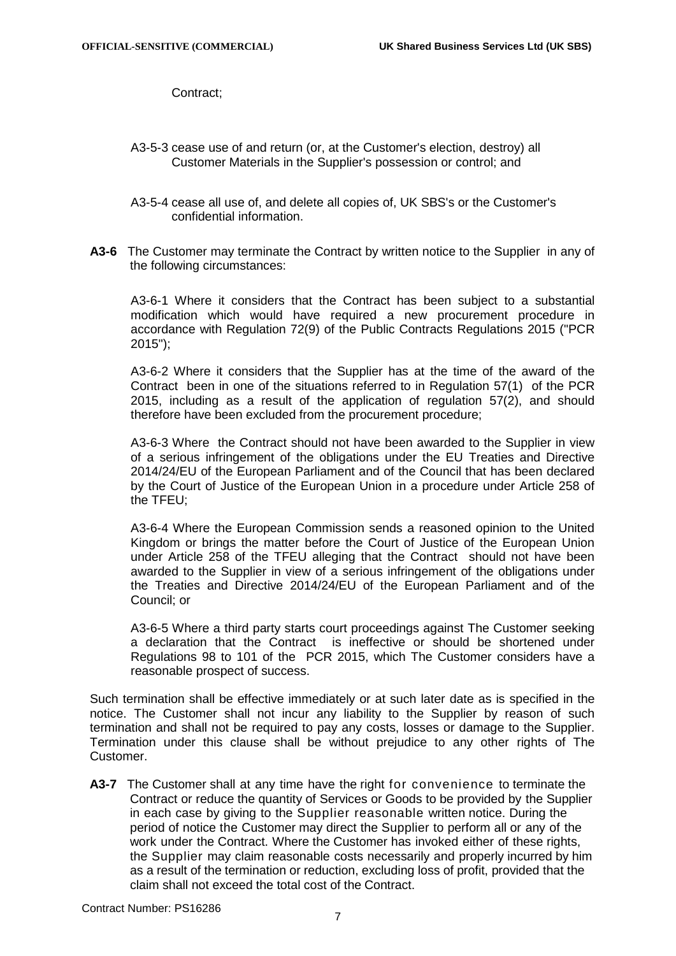Contract;

- A3-5-3 cease use of and return (or, at the Customer's election, destroy) all Customer Materials in the Supplier's possession or control; and
- A3-5-4 cease all use of, and delete all copies of, UK SBS's or the Customer's confidential information.
- **A3-6** The Customer may terminate the Contract by written notice to the Supplier in any of the following circumstances:

A3-6-1 Where it considers that the Contract has been subject to a substantial modification which would have required a new procurement procedure in accordance with Regulation 72(9) of the Public Contracts Regulations 2015 ("PCR 2015");

A3-6-2 Where it considers that the Supplier has at the time of the award of the Contract been in one of the situations referred to in Regulation 57(1) of the PCR 2015, including as a result of the application of regulation 57(2), and should therefore have been excluded from the procurement procedure;

A3-6-3 Where the Contract should not have been awarded to the Supplier in view of a serious infringement of the obligations under the EU Treaties and Directive 2014/24/EU of the European Parliament and of the Council that has been declared by the Court of Justice of the European Union in a procedure under Article 258 of the TFEU;

A3-6-4 Where the European Commission sends a reasoned opinion to the United Kingdom or brings the matter before the Court of Justice of the European Union under Article 258 of the TFEU alleging that the Contract should not have been awarded to the Supplier in view of a serious infringement of the obligations under the Treaties and Directive 2014/24/EU of the European Parliament and of the Council; or

A3-6-5 Where a third party starts court proceedings against The Customer seeking a declaration that the Contract is ineffective or should be shortened under Regulations 98 to 101 of the PCR 2015, which The Customer considers have a reasonable prospect of success.

Such termination shall be effective immediately or at such later date as is specified in the notice. The Customer shall not incur any liability to the Supplier by reason of such termination and shall not be required to pay any costs, losses or damage to the Supplier. Termination under this clause shall be without prejudice to any other rights of The Customer.

**A3-7** The Customer shall at any time have the right for convenience to terminate the Contract or reduce the quantity of Services or Goods to be provided by the Supplier in each case by giving to the Supplier reasonable written notice. During the period of notice the Customer may direct the Supplier to perform all or any of the work under the Contract. Where the Customer has invoked either of these rights, the Supplier may claim reasonable costs necessarily and properly incurred by him as a result of the termination or reduction, excluding loss of profit, provided that the claim shall not exceed the total cost of the Contract.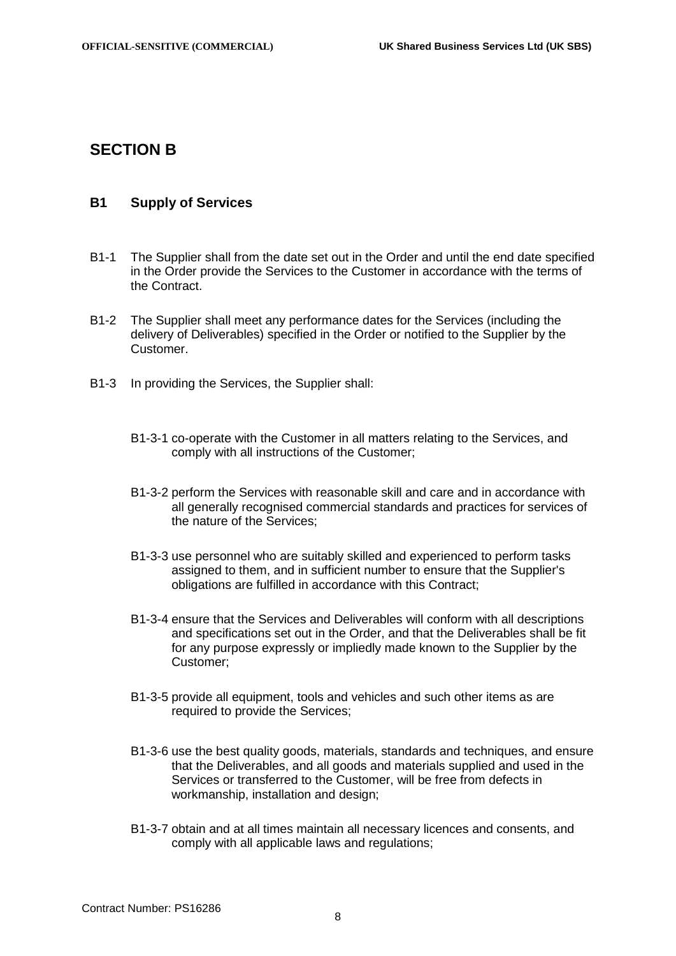# **SECTION B**

### <span id="page-7-0"></span>**B1 Supply of Services**

- B1-1 The Supplier shall from the date set out in the Order and until the end date specified in the Order provide the Services to the Customer in accordance with the terms of the Contract.
- B1-2 The Supplier shall meet any performance dates for the Services (including the delivery of Deliverables) specified in the Order or notified to the Supplier by the Customer.
- B1-3 In providing the Services, the Supplier shall:
	- B1-3-1 co-operate with the Customer in all matters relating to the Services, and comply with all instructions of the Customer;
	- B1-3-2 perform the Services with reasonable skill and care and in accordance with all generally recognised commercial standards and practices for services of the nature of the Services;
	- B1-3-3 use personnel who are suitably skilled and experienced to perform tasks assigned to them, and in sufficient number to ensure that the Supplier's obligations are fulfilled in accordance with this Contract;
	- B1-3-4 ensure that the Services and Deliverables will conform with all descriptions and specifications set out in the Order, and that the Deliverables shall be fit for any purpose expressly or impliedly made known to the Supplier by the Customer;
	- B1-3-5 provide all equipment, tools and vehicles and such other items as are required to provide the Services;
	- B1-3-6 use the best quality goods, materials, standards and techniques, and ensure that the Deliverables, and all goods and materials supplied and used in the Services or transferred to the Customer, will be free from defects in workmanship, installation and design;
	- B1-3-7 obtain and at all times maintain all necessary licences and consents, and comply with all applicable laws and regulations;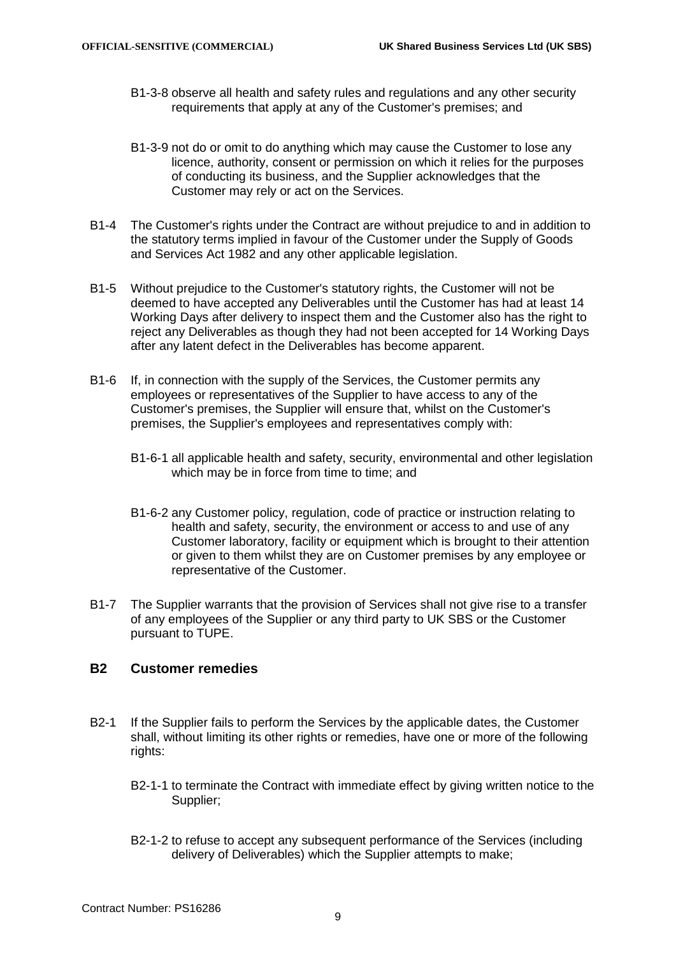- B1-3-8 observe all health and safety rules and regulations and any other security requirements that apply at any of the Customer's premises; and
- B1-3-9 not do or omit to do anything which may cause the Customer to lose any licence, authority, consent or permission on which it relies for the purposes of conducting its business, and the Supplier acknowledges that the Customer may rely or act on the Services.
- B1-4 The Customer's rights under the Contract are without prejudice to and in addition to the statutory terms implied in favour of the Customer under the Supply of Goods and Services Act 1982 and any other applicable legislation.
- B1-5 Without prejudice to the Customer's statutory rights, the Customer will not be deemed to have accepted any Deliverables until the Customer has had at least 14 Working Days after delivery to inspect them and the Customer also has the right to reject any Deliverables as though they had not been accepted for 14 Working Days after any latent defect in the Deliverables has become apparent.
- B1-6 If, in connection with the supply of the Services, the Customer permits any employees or representatives of the Supplier to have access to any of the Customer's premises, the Supplier will ensure that, whilst on the Customer's premises, the Supplier's employees and representatives comply with:
	- B1-6-1 all applicable health and safety, security, environmental and other legislation which may be in force from time to time; and
	- B1-6-2 any Customer policy, regulation, code of practice or instruction relating to health and safety, security, the environment or access to and use of any Customer laboratory, facility or equipment which is brought to their attention or given to them whilst they are on Customer premises by any employee or representative of the Customer.
- <span id="page-8-2"></span>B1-7 The Supplier warrants that the provision of Services shall not give rise to a transfer of any employees of the Supplier or any third party to UK SBS or the Customer pursuant to TUPE.

# <span id="page-8-1"></span>**B2 Customer remedies**

- <span id="page-8-0"></span>B2-1 If the Supplier fails to perform the Services by the applicable dates, the Customer shall, without limiting its other rights or remedies, have one or more of the following rights:
	- B2-1-1 to terminate the Contract with immediate effect by giving written notice to the Supplier;
	- B2-1-2 to refuse to accept any subsequent performance of the Services (including delivery of Deliverables) which the Supplier attempts to make;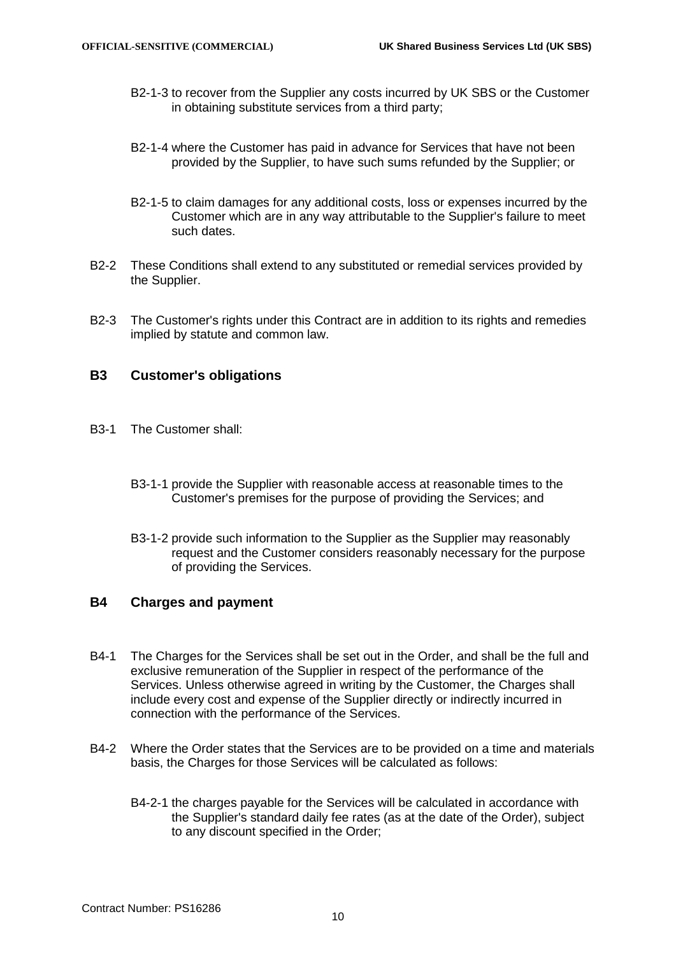- B2-1-3 to recover from the Supplier any costs incurred by UK SBS or the Customer in obtaining substitute services from a third party;
- B2-1-4 where the Customer has paid in advance for Services that have not been provided by the Supplier, to have such sums refunded by the Supplier; or
- B2-1-5 to claim damages for any additional costs, loss or expenses incurred by the Customer which are in any way attributable to the Supplier's failure to meet such dates.
- B2-2 These Conditions shall extend to any substituted or remedial services provided by the Supplier.
- B2-3 The Customer's rights under this Contract are in addition to its rights and remedies implied by statute and common law.

# **B3 Customer's obligations**

- B3-1 The Customer shall:
	- B3-1-1 provide the Supplier with reasonable access at reasonable times to the Customer's premises for the purpose of providing the Services; and
	- B3-1-2 provide such information to the Supplier as the Supplier may reasonably request and the Customer considers reasonably necessary for the purpose of providing the Services.

# <span id="page-9-0"></span>**B4 Charges and payment**

- B4-1 The Charges for the Services shall be set out in the Order, and shall be the full and exclusive remuneration of the Supplier in respect of the performance of the Services. Unless otherwise agreed in writing by the Customer, the Charges shall include every cost and expense of the Supplier directly or indirectly incurred in connection with the performance of the Services.
- <span id="page-9-1"></span>B4-2 Where the Order states that the Services are to be provided on a time and materials basis, the Charges for those Services will be calculated as follows:
	- B4-2-1 the charges payable for the Services will be calculated in accordance with the Supplier's standard daily fee rates (as at the date of the Order), subject to any discount specified in the Order;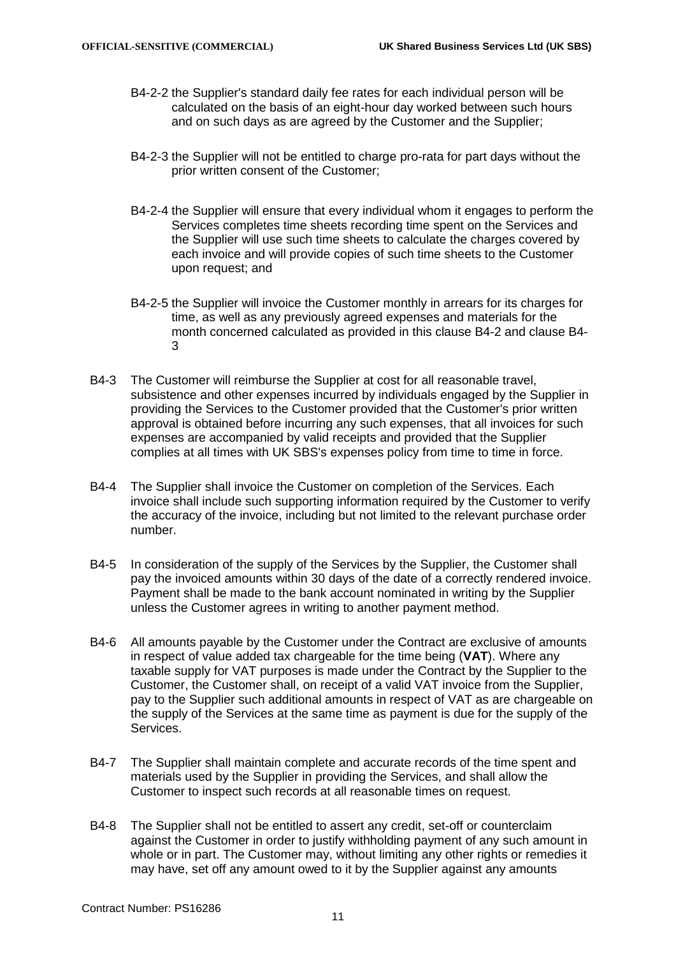- B4-2-2 the Supplier's standard daily fee rates for each individual person will be calculated on the basis of an eight-hour day worked between such hours and on such days as are agreed by the Customer and the Supplier;
- B4-2-3 the Supplier will not be entitled to charge pro-rata for part days without the prior written consent of the Customer;
- B4-2-4 the Supplier will ensure that every individual whom it engages to perform the Services completes time sheets recording time spent on the Services and the Supplier will use such time sheets to calculate the charges covered by each invoice and will provide copies of such time sheets to the Customer upon request; and
- B4-2-5 the Supplier will invoice the Customer monthly in arrears for its charges for time, as well as any previously agreed expenses and materials for the month concerned calculated as provided in this clause [B4-2](#page-9-1) and clause [B4-](#page-10-0) [3](#page-10-0)
- <span id="page-10-0"></span>B4-3 The Customer will reimburse the Supplier at cost for all reasonable travel, subsistence and other expenses incurred by individuals engaged by the Supplier in providing the Services to the Customer provided that the Customer's prior written approval is obtained before incurring any such expenses, that all invoices for such expenses are accompanied by valid receipts and provided that the Supplier complies at all times with UK SBS's expenses policy from time to time in force.
- B4-4 The Supplier shall invoice the Customer on completion of the Services. Each invoice shall include such supporting information required by the Customer to verify the accuracy of the invoice, including but not limited to the relevant purchase order number.
- B4-5 In consideration of the supply of the Services by the Supplier, the Customer shall pay the invoiced amounts within 30 days of the date of a correctly rendered invoice. Payment shall be made to the bank account nominated in writing by the Supplier unless the Customer agrees in writing to another payment method.
- B4-6 All amounts payable by the Customer under the Contract are exclusive of amounts in respect of value added tax chargeable for the time being (**VAT**). Where any taxable supply for VAT purposes is made under the Contract by the Supplier to the Customer, the Customer shall, on receipt of a valid VAT invoice from the Supplier, pay to the Supplier such additional amounts in respect of VAT as are chargeable on the supply of the Services at the same time as payment is due for the supply of the Services.
- B4-7 The Supplier shall maintain complete and accurate records of the time spent and materials used by the Supplier in providing the Services, and shall allow the Customer to inspect such records at all reasonable times on request.
- B4-8 The Supplier shall not be entitled to assert any credit, set-off or counterclaim against the Customer in order to justify withholding payment of any such amount in whole or in part. The Customer may, without limiting any other rights or remedies it may have, set off any amount owed to it by the Supplier against any amounts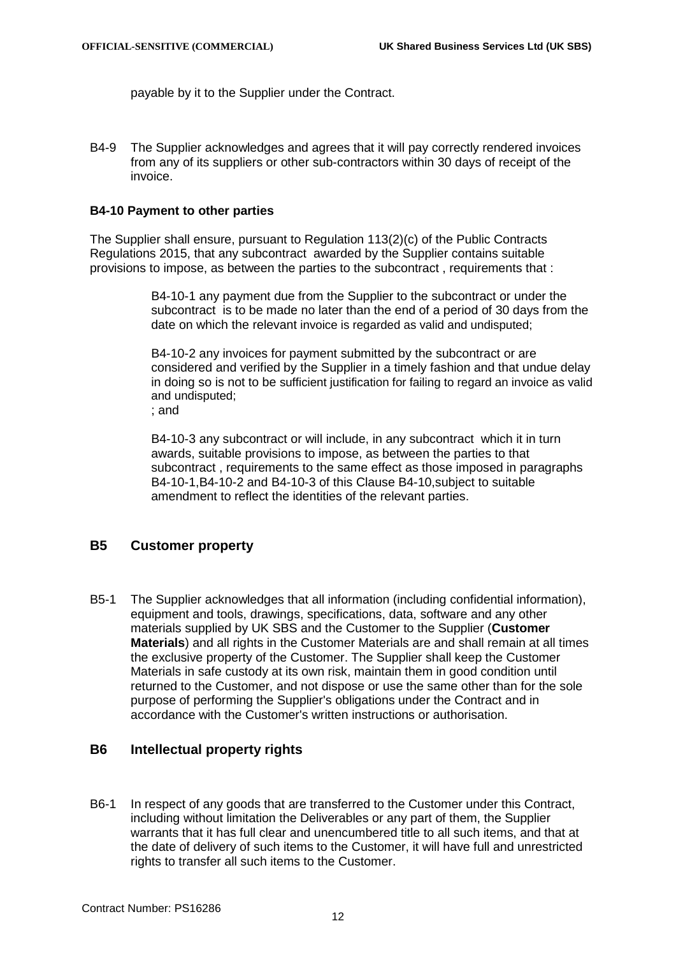payable by it to the Supplier under the Contract.

B4-9 The Supplier acknowledges and agrees that it will pay correctly rendered invoices from any of its suppliers or other sub-contractors within 30 days of receipt of the invoice.

#### **B4-10 Payment to other parties**

The Supplier shall ensure, pursuant to Regulation 113(2)(c) of the Public Contracts Regulations 2015, that any subcontract awarded by the Supplier contains suitable provisions to impose, as between the parties to the subcontract , requirements that :

> B4-10-1 any payment due from the Supplier to the subcontract or under the subcontract is to be made no later than the end of a period of 30 days from the date on which the relevant invoice is regarded as valid and undisputed;

> B4-10-2 any invoices for payment submitted by the subcontract or are considered and verified by the Supplier in a timely fashion and that undue delay in doing so is not to be sufficient justification for failing to regard an invoice as valid and undisputed;

; and

B4-10-3 any subcontract or will include, in any subcontract which it in turn awards, suitable provisions to impose, as between the parties to that subcontract , requirements to the same effect as those imposed in paragraphs B4-10-1,B4-10-2 and B4-10-3 of this Clause B4-10,subject to suitable amendment to reflect the identities of the relevant parties.

# <span id="page-11-0"></span>**B5 Customer property**

B5-1 The Supplier acknowledges that all information (including confidential information), equipment and tools, drawings, specifications, data, software and any other materials supplied by UK SBS and the Customer to the Supplier (**Customer Materials**) and all rights in the Customer Materials are and shall remain at all times the exclusive property of the Customer. The Supplier shall keep the Customer Materials in safe custody at its own risk, maintain them in good condition until returned to the Customer, and not dispose or use the same other than for the sole purpose of performing the Supplier's obligations under the Contract and in accordance with the Customer's written instructions or authorisation.

### <span id="page-11-1"></span>**B6 Intellectual property rights**

B6-1 In respect of any goods that are transferred to the Customer under this Contract, including without limitation the Deliverables or any part of them, the Supplier warrants that it has full clear and unencumbered title to all such items, and that at the date of delivery of such items to the Customer, it will have full and unrestricted rights to transfer all such items to the Customer.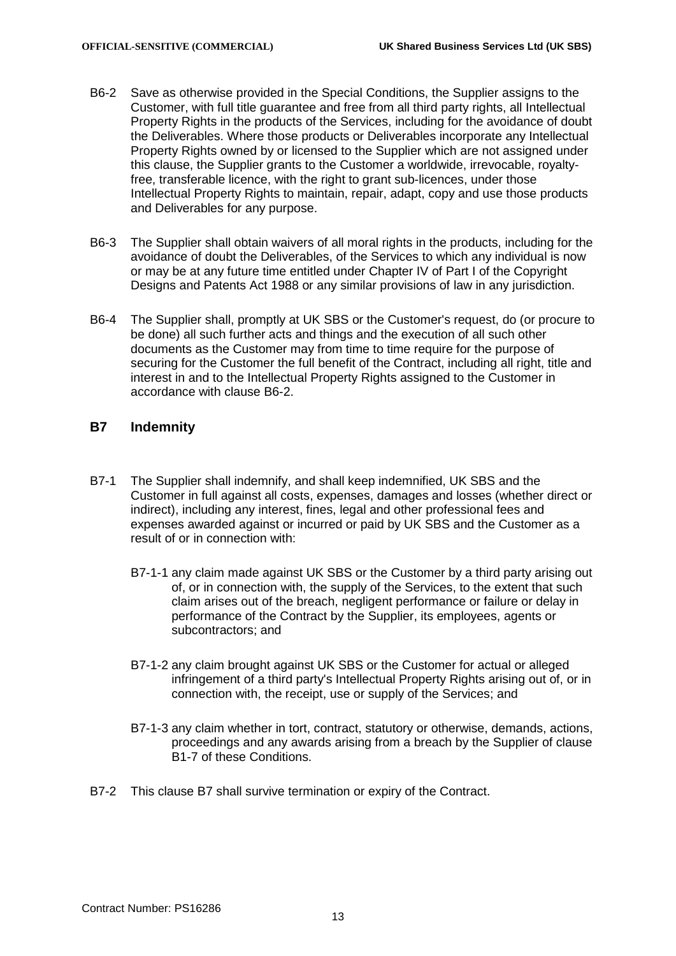- <span id="page-12-1"></span>B6-2 Save as otherwise provided in the Special Conditions, the Supplier assigns to the Customer, with full title guarantee and free from all third party rights, all Intellectual Property Rights in the products of the Services, including for the avoidance of doubt the Deliverables. Where those products or Deliverables incorporate any Intellectual Property Rights owned by or licensed to the Supplier which are not assigned under this clause, the Supplier grants to the Customer a worldwide, irrevocable, royaltyfree, transferable licence, with the right to grant sub-licences, under those Intellectual Property Rights to maintain, repair, adapt, copy and use those products and Deliverables for any purpose.
- B6-3 The Supplier shall obtain waivers of all moral rights in the products, including for the avoidance of doubt the Deliverables, of the Services to which any individual is now or may be at any future time entitled under Chapter IV of Part I of the Copyright Designs and Patents Act 1988 or any similar provisions of law in any jurisdiction.
- B6-4 The Supplier shall, promptly at UK SBS or the Customer's request, do (or procure to be done) all such further acts and things and the execution of all such other documents as the Customer may from time to time require for the purpose of securing for the Customer the full benefit of the Contract, including all right, title and interest in and to the Intellectual Property Rights assigned to the Customer in accordance with clause [B6-2.](#page-12-1)

## <span id="page-12-0"></span>**B7 Indemnity**

- B7-1 The Supplier shall indemnify, and shall keep indemnified, UK SBS and the Customer in full against all costs, expenses, damages and losses (whether direct or indirect), including any interest, fines, legal and other professional fees and expenses awarded against or incurred or paid by UK SBS and the Customer as a result of or in connection with:
	- B7-1-1 any claim made against UK SBS or the Customer by a third party arising out of, or in connection with, the supply of the Services, to the extent that such claim arises out of the breach, negligent performance or failure or delay in performance of the Contract by the Supplier, its employees, agents or subcontractors; and
	- B7-1-2 any claim brought against UK SBS or the Customer for actual or alleged infringement of a third party's Intellectual Property Rights arising out of, or in connection with, the receipt, use or supply of the Services; and
	- B7-1-3 any claim whether in tort, contract, statutory or otherwise, demands, actions, proceedings and any awards arising from a breach by the Supplier of clause [B1-7](#page-8-2) of these Conditions.
- B7-2 This clause [B7](#page-12-0) shall survive termination or expiry of the Contract.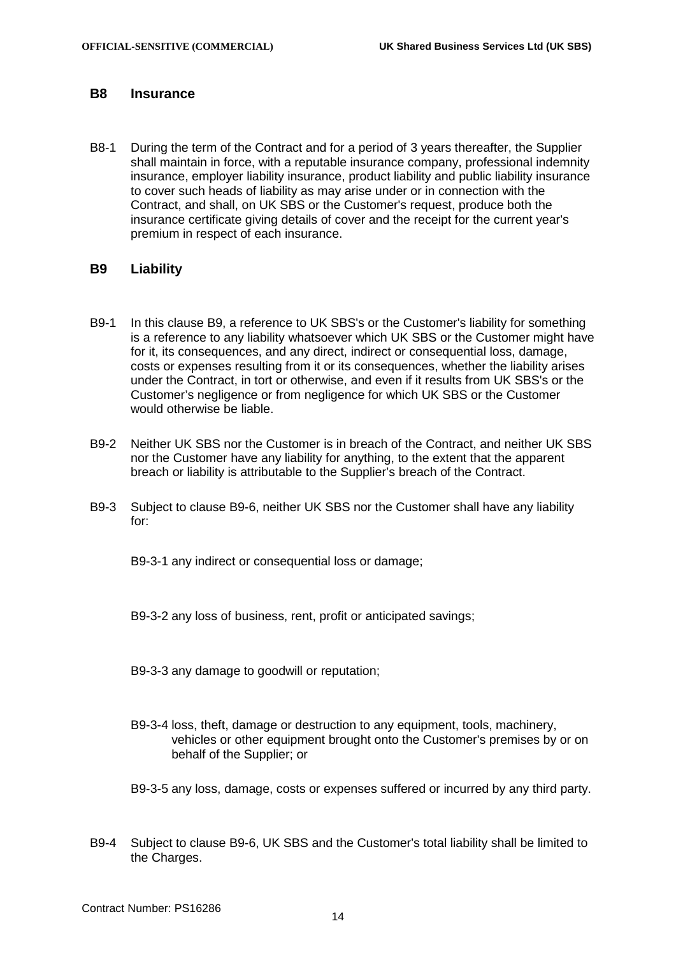# <span id="page-13-0"></span>**B8 Insurance**

B8-1 During the term of the Contract and for a period of 3 years thereafter, the Supplier shall maintain in force, with a reputable insurance company, professional indemnity insurance, employer liability insurance, product liability and public liability insurance to cover such heads of liability as may arise under or in connection with the Contract, and shall, on UK SBS or the Customer's request, produce both the insurance certificate giving details of cover and the receipt for the current year's premium in respect of each insurance.

### <span id="page-13-1"></span>**B9 Liability**

- B9-1 In this clause [B9,](#page-13-1) a reference to UK SBS's or the Customer's liability for something is a reference to any liability whatsoever which UK SBS or the Customer might have for it, its consequences, and any direct, indirect or consequential loss, damage, costs or expenses resulting from it or its consequences, whether the liability arises under the Contract, in tort or otherwise, and even if it results from UK SBS's or the Customer's negligence or from negligence for which UK SBS or the Customer would otherwise be liable.
- B9-2 Neither UK SBS nor the Customer is in breach of the Contract, and neither UK SBS nor the Customer have any liability for anything, to the extent that the apparent breach or liability is attributable to the Supplier's breach of the Contract.
- B9-3 Subject to clause [B9-6,](#page-14-2) neither UK SBS nor the Customer shall have any liability for:

B9-3-1 any indirect or consequential loss or damage;

B9-3-2 any loss of business, rent, profit or anticipated savings;

B9-3-3 any damage to goodwill or reputation;

- B9-3-4 loss, theft, damage or destruction to any equipment, tools, machinery, vehicles or other equipment brought onto the Customer's premises by or on behalf of the Supplier; or
- B9-3-5 any loss, damage, costs or expenses suffered or incurred by any third party.
- B9-4 Subject to clause [B9-6,](#page-14-2) UK SBS and the Customer's total liability shall be limited to the Charges.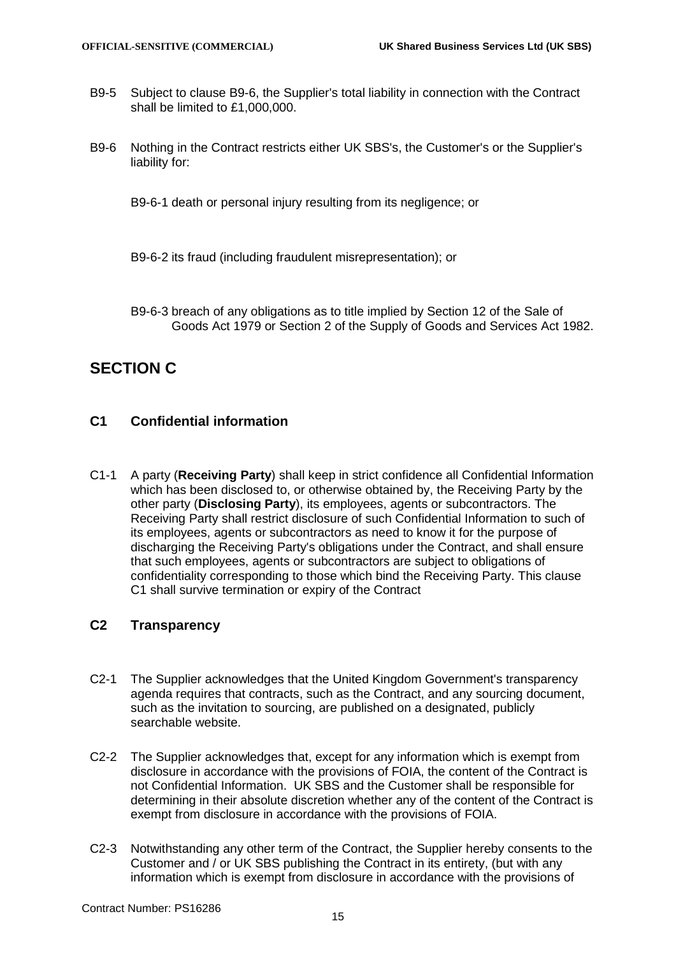- B9-5 Subject to clause [B9-6,](#page-14-2) the Supplier's total liability in connection with the Contract shall be limited to £1,000,000.
- <span id="page-14-2"></span>B9-6 Nothing in the Contract restricts either UK SBS's, the Customer's or the Supplier's liability for:
	- B9-6-1 death or personal injury resulting from its negligence; or
	- B9-6-2 its fraud (including fraudulent misrepresentation); or
	- B9-6-3 breach of any obligations as to title implied by Section 12 of the Sale of Goods Act 1979 or Section 2 of the Supply of Goods and Services Act 1982.

# **SECTION C**

# <span id="page-14-1"></span>**C1 Confidential information**

C1-1 A party (**Receiving Party**) shall keep in strict confidence all Confidential Information which has been disclosed to, or otherwise obtained by, the Receiving Party by the other party (**Disclosing Party**), its employees, agents or subcontractors. The Receiving Party shall restrict disclosure of such Confidential Information to such of its employees, agents or subcontractors as need to know it for the purpose of discharging the Receiving Party's obligations under the Contract, and shall ensure that such employees, agents or subcontractors are subject to obligations of confidentiality corresponding to those which bind the Receiving Party. This clause [C1](#page-14-1) shall survive termination or expiry of the Contract

# **C2 Transparency**

- C2-1 The Supplier acknowledges that the United Kingdom Government's transparency agenda requires that contracts, such as the Contract, and any sourcing document, such as the invitation to sourcing, are published on a designated, publicly searchable website.
- C2-2 The Supplier acknowledges that, except for any information which is exempt from disclosure in accordance with the provisions of FOIA, the content of the Contract is not Confidential Information. UK SBS and the Customer shall be responsible for determining in their absolute discretion whether any of the content of the Contract is exempt from disclosure in accordance with the provisions of FOIA.
- <span id="page-14-0"></span>C2-3 Notwithstanding any other term of the Contract, the Supplier hereby consents to the Customer and / or UK SBS publishing the Contract in its entirety, (but with any information which is exempt from disclosure in accordance with the provisions of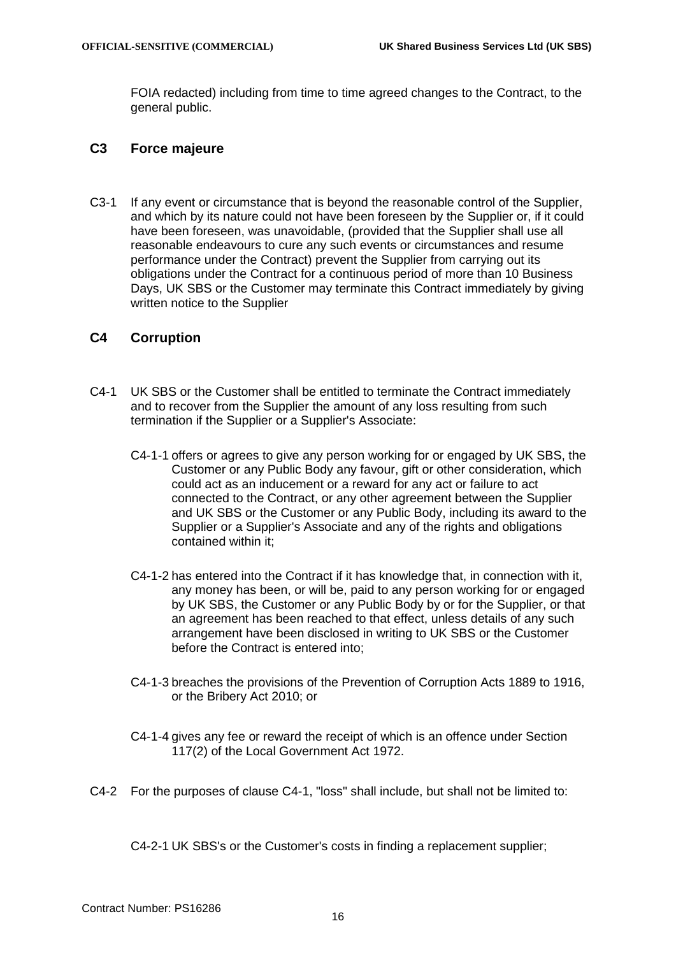FOIA redacted) including from time to time agreed changes to the Contract, to the general public.

## **C3 Force majeure**

C3-1 If any event or circumstance that is beyond the reasonable control of the Supplier, and which by its nature could not have been foreseen by the Supplier or, if it could have been foreseen, was unavoidable, (provided that the Supplier shall use all reasonable endeavours to cure any such events or circumstances and resume performance under the Contract) prevent the Supplier from carrying out its obligations under the Contract for a continuous period of more than 10 Business Days, UK SBS or the Customer may terminate this Contract immediately by giving written notice to the Supplier

# **C4 Corruption**

- <span id="page-15-0"></span>C4-1 UK SBS or the Customer shall be entitled to terminate the Contract immediately and to recover from the Supplier the amount of any loss resulting from such termination if the Supplier or a Supplier's Associate:
	- C4-1-1 offers or agrees to give any person working for or engaged by UK SBS, the Customer or any Public Body any favour, gift or other consideration, which could act as an inducement or a reward for any act or failure to act connected to the Contract, or any other agreement between the Supplier and UK SBS or the Customer or any Public Body, including its award to the Supplier or a Supplier's Associate and any of the rights and obligations contained within it;
	- C4-1-2 has entered into the Contract if it has knowledge that, in connection with it, any money has been, or will be, paid to any person working for or engaged by UK SBS, the Customer or any Public Body by or for the Supplier, or that an agreement has been reached to that effect, unless details of any such arrangement have been disclosed in writing to UK SBS or the Customer before the Contract is entered into;
	- C4-1-3 breaches the provisions of the Prevention of Corruption Acts 1889 to 1916, or the Bribery Act 2010; or
	- C4-1-4 gives any fee or reward the receipt of which is an offence under Section 117(2) of the Local Government Act 1972.
- C4-2 For the purposes of clause [C4-1,](#page-15-0) "loss" shall include, but shall not be limited to:

C4-2-1 UK SBS's or the Customer's costs in finding a replacement supplier;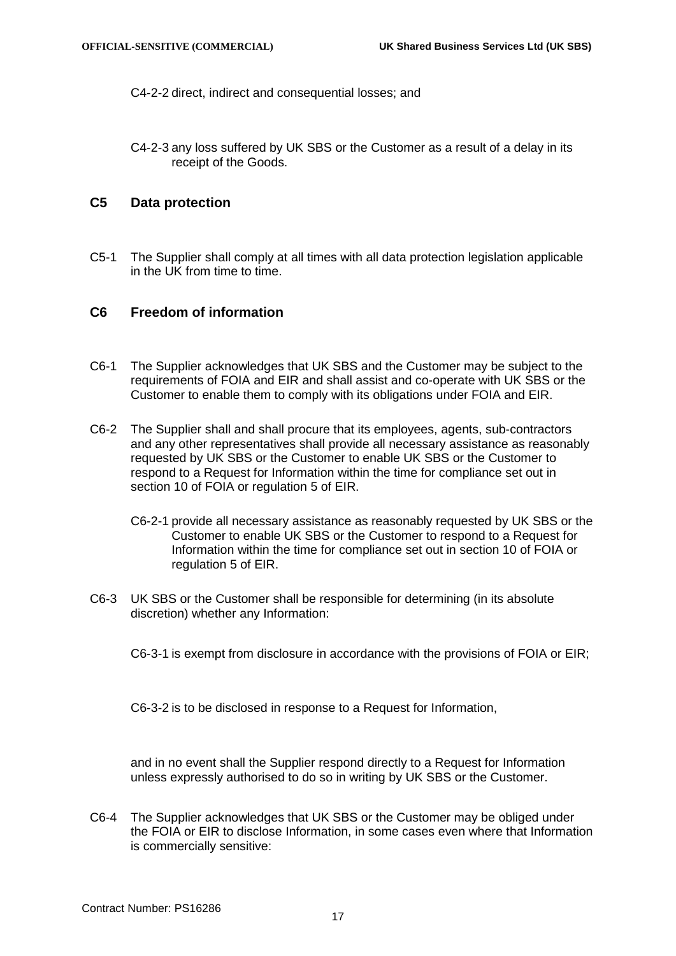C4-2-2 direct, indirect and consequential losses; and

C4-2-3 any loss suffered by UK SBS or the Customer as a result of a delay in its receipt of the Goods.

### **C5 Data protection**

C5-1 The Supplier shall comply at all times with all data protection legislation applicable in the UK from time to time.

# <span id="page-16-0"></span>**C6 Freedom of information**

- C6-1 The Supplier acknowledges that UK SBS and the Customer may be subject to the requirements of FOIA and EIR and shall assist and co-operate with UK SBS or the Customer to enable them to comply with its obligations under FOIA and EIR.
- C6-2 The Supplier shall and shall procure that its employees, agents, sub-contractors and any other representatives shall provide all necessary assistance as reasonably requested by UK SBS or the Customer to enable UK SBS or the Customer to respond to a Request for Information within the time for compliance set out in section 10 of FOIA or regulation 5 of EIR.
	- C6-2-1 provide all necessary assistance as reasonably requested by UK SBS or the Customer to enable UK SBS or the Customer to respond to a Request for Information within the time for compliance set out in section 10 of FOIA or regulation 5 of EIR.
- C6-3 UK SBS or the Customer shall be responsible for determining (in its absolute discretion) whether any Information:

C6-3-1 is exempt from disclosure in accordance with the provisions of FOIA or EIR;

C6-3-2 is to be disclosed in response to a Request for Information,

and in no event shall the Supplier respond directly to a Request for Information unless expressly authorised to do so in writing by UK SBS or the Customer.

C6-4 The Supplier acknowledges that UK SBS or the Customer may be obliged under the FOIA or EIR to disclose Information, in some cases even where that Information is commercially sensitive: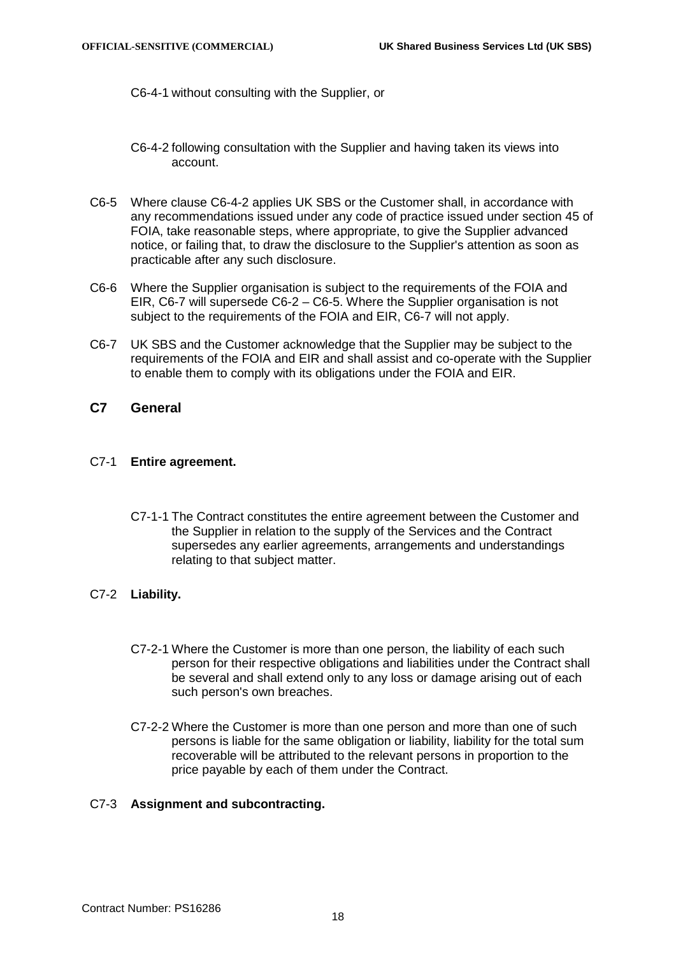C6-4-1 without consulting with the Supplier, or

- <span id="page-17-1"></span>C6-4-2 following consultation with the Supplier and having taken its views into account.
- C6-5 Where clause [C6-4-2](#page-17-1) applies UK SBS or the Customer shall, in accordance with any recommendations issued under any code of practice issued under section 45 of FOIA, take reasonable steps, where appropriate, to give the Supplier advanced notice, or failing that, to draw the disclosure to the Supplier's attention as soon as practicable after any such disclosure.
- C6-6 Where the Supplier organisation is subject to the requirements of the FOIA and EIR, C6-7 will supersede C6-2 – C6-5. Where the Supplier organisation is not subject to the requirements of the FOIA and EIR, C6-7 will not apply.
- C6-7 UK SBS and the Customer acknowledge that the Supplier may be subject to the requirements of the FOIA and EIR and shall assist and co-operate with the Supplier to enable them to comply with its obligations under the FOIA and EIR.
- <span id="page-17-0"></span>**C7 General**

### C7-1 **Entire agreement.**

- C7-1-1 The Contract constitutes the entire agreement between the Customer and the Supplier in relation to the supply of the Services and the Contract supersedes any earlier agreements, arrangements and understandings relating to that subject matter.
- C7-2 **Liability.**
	- C7-2-1 Where the Customer is more than one person, the liability of each such person for their respective obligations and liabilities under the Contract shall be several and shall extend only to any loss or damage arising out of each such person's own breaches.
	- C7-2-2 Where the Customer is more than one person and more than one of such persons is liable for the same obligation or liability, liability for the total sum recoverable will be attributed to the relevant persons in proportion to the price payable by each of them under the Contract.

### C7-3 **Assignment and subcontracting.**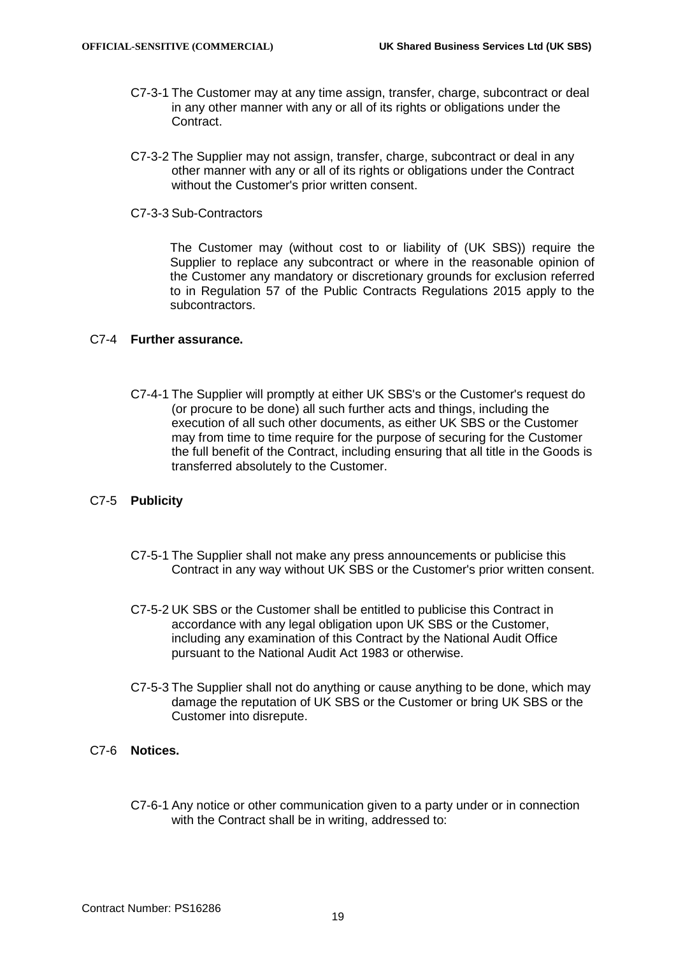- C7-3-1 The Customer may at any time assign, transfer, charge, subcontract or deal in any other manner with any or all of its rights or obligations under the Contract.
- C7-3-2 The Supplier may not assign, transfer, charge, subcontract or deal in any other manner with any or all of its rights or obligations under the Contract without the Customer's prior written consent.
- C7-3-3 Sub-Contractors

The Customer may (without cost to or liability of (UK SBS)) require the Supplier to replace any subcontract or where in the reasonable opinion of the Customer any mandatory or discretionary grounds for exclusion referred to in Regulation 57 of the Public Contracts Regulations 2015 apply to the subcontractors.

#### C7-4 **Further assurance.**

C7-4-1 The Supplier will promptly at either UK SBS's or the Customer's request do (or procure to be done) all such further acts and things, including the execution of all such other documents, as either UK SBS or the Customer may from time to time require for the purpose of securing for the Customer the full benefit of the Contract, including ensuring that all title in the Goods is transferred absolutely to the Customer.

#### C7-5 **Publicity**

- C7-5-1 The Supplier shall not make any press announcements or publicise this Contract in any way without UK SBS or the Customer's prior written consent.
- C7-5-2 UK SBS or the Customer shall be entitled to publicise this Contract in accordance with any legal obligation upon UK SBS or the Customer, including any examination of this Contract by the National Audit Office pursuant to the National Audit Act 1983 or otherwise.
- C7-5-3 The Supplier shall not do anything or cause anything to be done, which may damage the reputation of UK SBS or the Customer or bring UK SBS or the Customer into disrepute.

### <span id="page-18-0"></span>C7-6 **Notices.**

C7-6-1 Any notice or other communication given to a party under or in connection with the Contract shall be in writing, addressed to: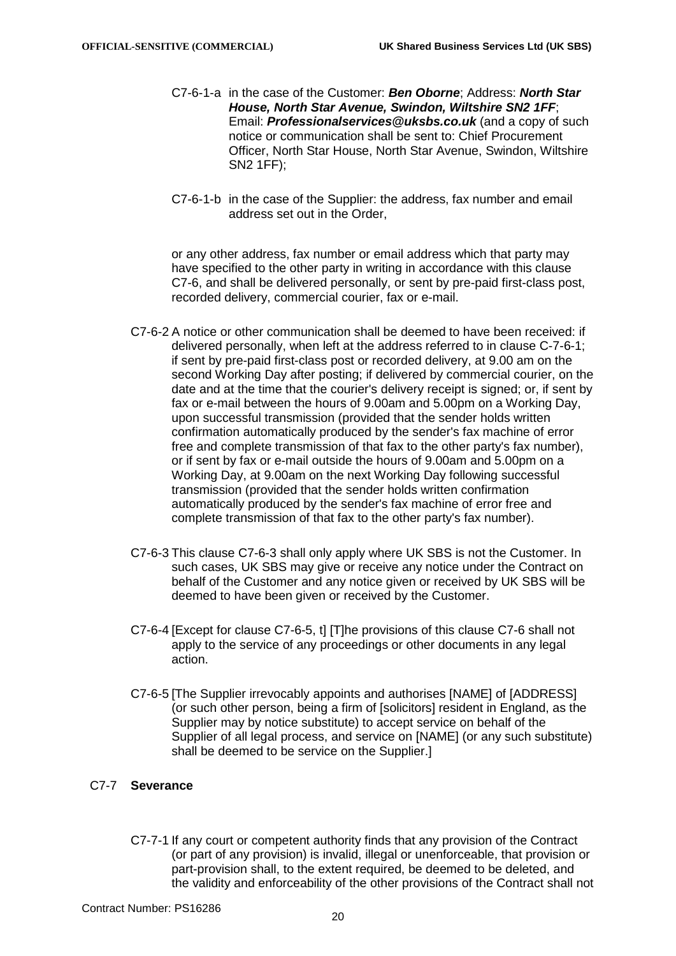- C7-6-1-a in the case of the Customer: *Ben Oborne*; Address: *North Star House, North Star Avenue, Swindon, Wiltshire SN2 1FF*; Email: *[Professionalservices@uksbs.co.uk](mailto:Professionalservices@uksbs.co.uk)* (and a copy of such notice or communication shall be sent to: Chief Procurement Officer, North Star House, North Star Avenue, Swindon, Wiltshire SN2 1FF);
- C7-6-1-b in the case of the Supplier: the address, fax number and email address set out in the Order,

or any other address, fax number or email address which that party may have specified to the other party in writing in accordance with this clause [C7-6,](#page-18-0) and shall be delivered personally, or sent by pre-paid first-class post, recorded delivery, commercial courier, fax or e-mail.

- C7-6-2 A notice or other communication shall be deemed to have been received: if delivered personally, when left at the address referred to in clause C-7-6-1; if sent by pre-paid first-class post or recorded delivery, at 9.00 am on the second Working Day after posting; if delivered by commercial courier, on the date and at the time that the courier's delivery receipt is signed; or, if sent by fax or e-mail between the hours of 9.00am and 5.00pm on a Working Day, upon successful transmission (provided that the sender holds written confirmation automatically produced by the sender's fax machine of error free and complete transmission of that fax to the other party's fax number), or if sent by fax or e-mail outside the hours of 9.00am and 5.00pm on a Working Day, at 9.00am on the next Working Day following successful transmission (provided that the sender holds written confirmation automatically produced by the sender's fax machine of error free and complete transmission of that fax to the other party's fax number).
- <span id="page-19-0"></span>C7-6-3 This clause [C7-6-3](#page-19-0) shall only apply where UK SBS is not the Customer. In such cases, UK SBS may give or receive any notice under the Contract on behalf of the Customer and any notice given or received by UK SBS will be deemed to have been given or received by the Customer.
- C7-6-4 [Except for clause [C7-6-5,](#page-19-1) t] [T]he provisions of this clause [C7-6](#page-18-0) shall not apply to the service of any proceedings or other documents in any legal action.
- <span id="page-19-1"></span>C7-6-5 [The Supplier irrevocably appoints and authorises [NAME] of [ADDRESS] (or such other person, being a firm of [solicitors] resident in England, as the Supplier may by notice substitute) to accept service on behalf of the Supplier of all legal process, and service on [NAME] (or any such substitute) shall be deemed to be service on the Supplier.]

### C7-7 **Severance**

C7-7-1 If any court or competent authority finds that any provision of the Contract (or part of any provision) is invalid, illegal or unenforceable, that provision or part-provision shall, to the extent required, be deemed to be deleted, and the validity and enforceability of the other provisions of the Contract shall not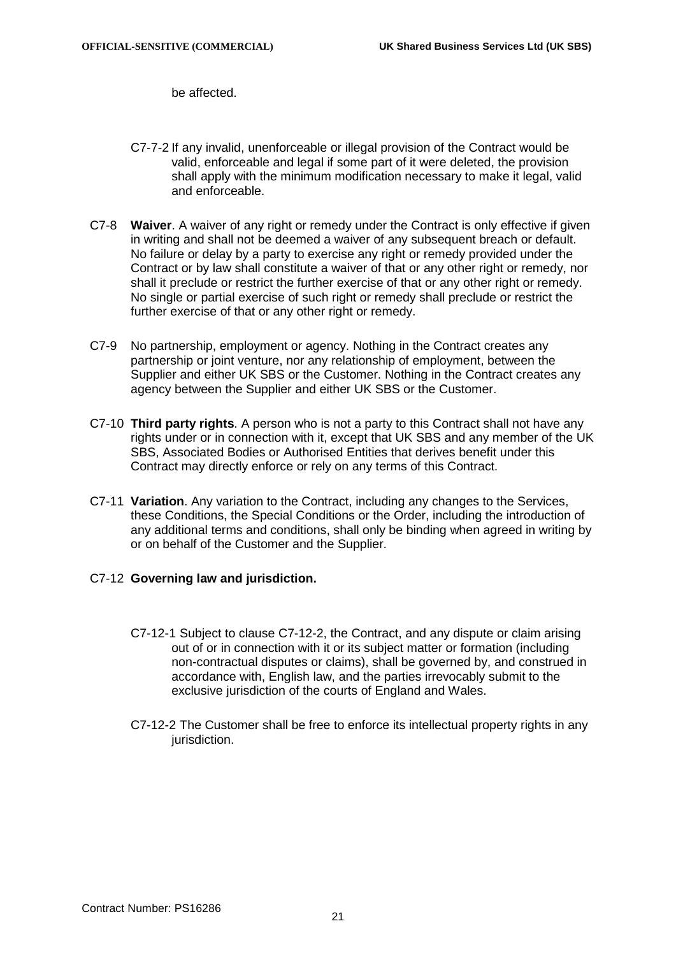be affected.

- C7-7-2 If any invalid, unenforceable or illegal provision of the Contract would be valid, enforceable and legal if some part of it were deleted, the provision shall apply with the minimum modification necessary to make it legal, valid and enforceable.
- C7-8 **Waiver**. A waiver of any right or remedy under the Contract is only effective if given in writing and shall not be deemed a waiver of any subsequent breach or default. No failure or delay by a party to exercise any right or remedy provided under the Contract or by law shall constitute a waiver of that or any other right or remedy, nor shall it preclude or restrict the further exercise of that or any other right or remedy. No single or partial exercise of such right or remedy shall preclude or restrict the further exercise of that or any other right or remedy.
- C7-9 No partnership, employment or agency. Nothing in the Contract creates any partnership or joint venture, nor any relationship of employment, between the Supplier and either UK SBS or the Customer. Nothing in the Contract creates any agency between the Supplier and either UK SBS or the Customer.
- C7-10 **Third party rights**. A person who is not a party to this Contract shall not have any rights under or in connection with it, except that UK SBS and any member of the UK SBS, Associated Bodies or Authorised Entities that derives benefit under this Contract may directly enforce or rely on any terms of this Contract.
- <span id="page-20-0"></span>C7-11 **Variation**. Any variation to the Contract, including any changes to the Services, these Conditions, the Special Conditions or the Order, including the introduction of any additional terms and conditions, shall only be binding when agreed in writing by or on behalf of the Customer and the Supplier.
- <span id="page-20-1"></span>C7-12 **Governing law and jurisdiction.**
	- C7-12-1 Subject to clause [C7-12-2,](#page-20-1) the Contract, and any dispute or claim arising out of or in connection with it or its subject matter or formation (including non-contractual disputes or claims), shall be governed by, and construed in accordance with, English law, and the parties irrevocably submit to the exclusive jurisdiction of the courts of England and Wales.
	- C7-12-2 The Customer shall be free to enforce its intellectual property rights in any jurisdiction.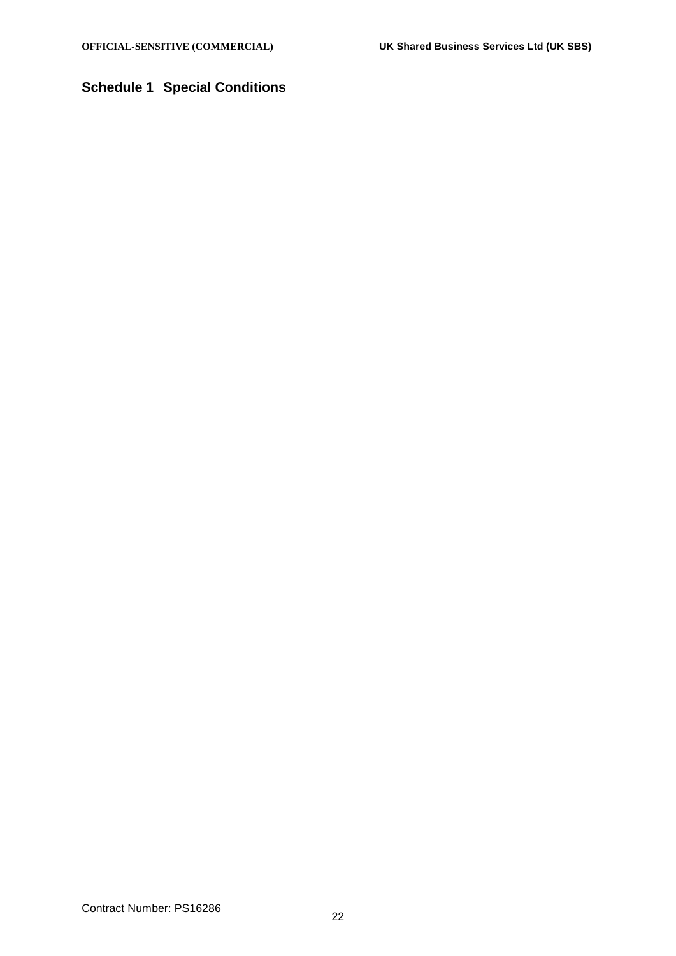# <span id="page-21-0"></span>**Schedule 1 Special Conditions**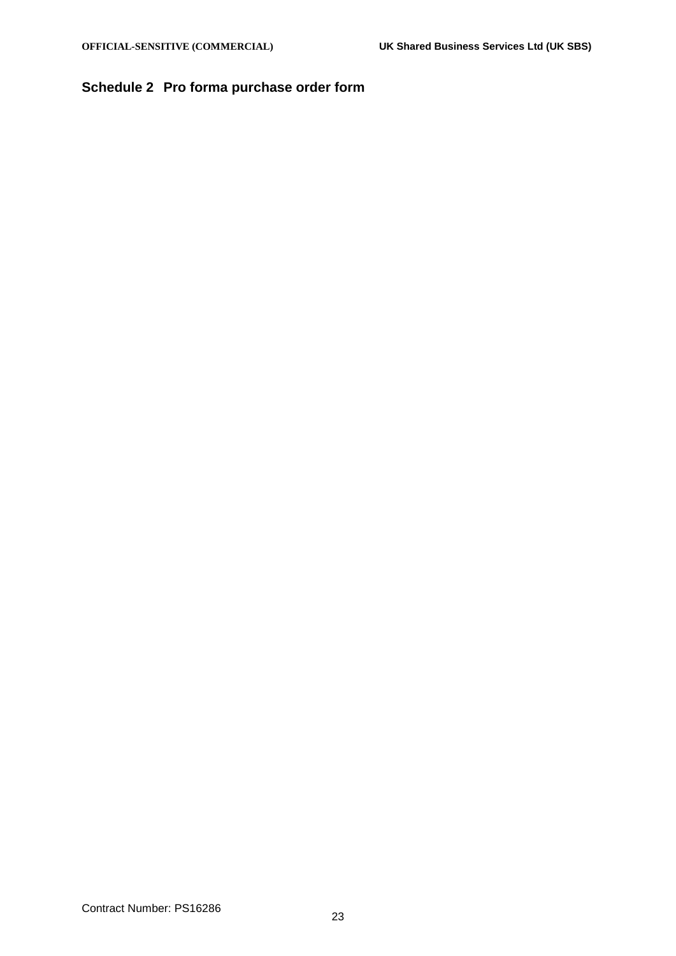# <span id="page-22-0"></span>**Schedule 2 Pro forma purchase order form**